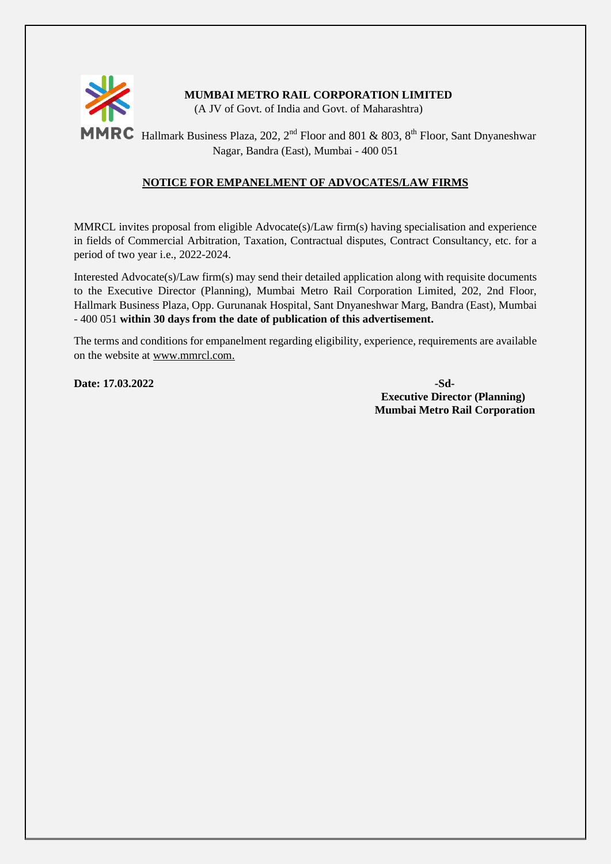

# **MUMBAI METRO RAIL CORPORATION LIMITED**

(A JV of Govt. of India and Govt. of Maharashtra)

**MMRC** Hallmark Business Plaza, 202, 2<sup>nd</sup> Floor and 801 & 803, 8<sup>th</sup> Floor, Sant Dnyaneshwar Nagar, Bandra (East), Mumbai - 400 051

### **NOTICE FOR EMPANELMENT OF ADVOCATES/LAW FIRMS**

MMRCL invites proposal from eligible Advocate(s)/Law firm(s) having specialisation and experience in fields of Commercial Arbitration, Taxation, Contractual disputes, Contract Consultancy, etc. for a period of two year i.e., 2022-2024.

Interested Advocate(s)/Law firm(s) may send their detailed application along with requisite documents to the Executive Director (Planning), Mumbai Metro Rail Corporation Limited, 202, 2nd Floor, Hallmark Business Plaza, Opp. Gurunanak Hospital, Sant Dnyaneshwar Marg, Bandra (East), Mumbai - 400 051 **within 30 days from the date of publication of this advertisement.**

The terms and conditions for empanelment regarding eligibility, experience, requirements are available on the website at www.mmrcl.com.

**Date: 17.03.2022 -Sd-**

**Executive Director (Planning) Mumbai Metro Rail Corporation**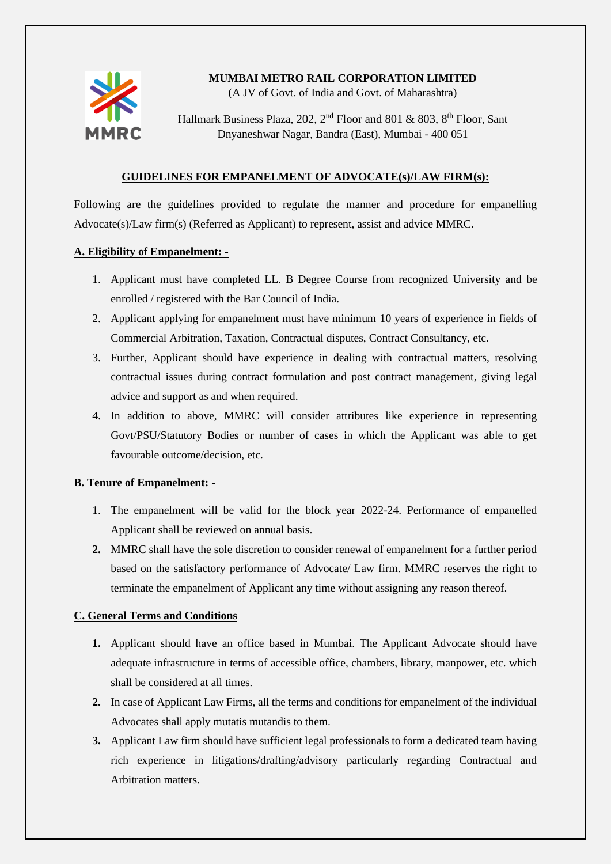

## **MUMBAI METRO RAIL CORPORATION LIMITED**

(A JV of Govt. of India and Govt. of Maharashtra)

Hallmark Business Plaza, 202,  $2<sup>nd</sup>$  Floor and 801 & 803,  $8<sup>th</sup>$  Floor, Sant Dnyaneshwar Nagar, Bandra (East), Mumbai - 400 051

#### **GUIDELINES FOR EMPANELMENT OF ADVOCATE(s)/LAW FIRM(s):**

Following are the guidelines provided to regulate the manner and procedure for empanelling Advocate(s)/Law firm(s) (Referred as Applicant) to represent, assist and advice MMRC.

#### **A. Eligibility of Empanelment: -**

- 1. Applicant must have completed LL. B Degree Course from recognized University and be enrolled / registered with the Bar Council of India.
- 2. Applicant applying for empanelment must have minimum 10 years of experience in fields of Commercial Arbitration, Taxation, Contractual disputes, Contract Consultancy, etc.
- 3. Further, Applicant should have experience in dealing with contractual matters, resolving contractual issues during contract formulation and post contract management, giving legal advice and support as and when required.
- 4. In addition to above, MMRC will consider attributes like experience in representing Govt/PSU/Statutory Bodies or number of cases in which the Applicant was able to get favourable outcome/decision, etc.

#### **B. Tenure of Empanelment: -**

- 1. The empanelment will be valid for the block year 2022-24. Performance of empanelled Applicant shall be reviewed on annual basis.
- **2.** MMRC shall have the sole discretion to consider renewal of empanelment for a further period based on the satisfactory performance of Advocate/ Law firm. MMRC reserves the right to terminate the empanelment of Applicant any time without assigning any reason thereof.

#### **C. General Terms and Conditions**

- **1.** Applicant should have an office based in Mumbai. The Applicant Advocate should have adequate infrastructure in terms of accessible office, chambers, library, manpower, etc. which shall be considered at all times.
- **2.** In case of Applicant Law Firms, all the terms and conditions for empanelment of the individual Advocates shall apply mutatis mutandis to them.
- **3.** Applicant Law firm should have sufficient legal professionals to form a dedicated team having rich experience in litigations/drafting/advisory particularly regarding Contractual and Arbitration matters.